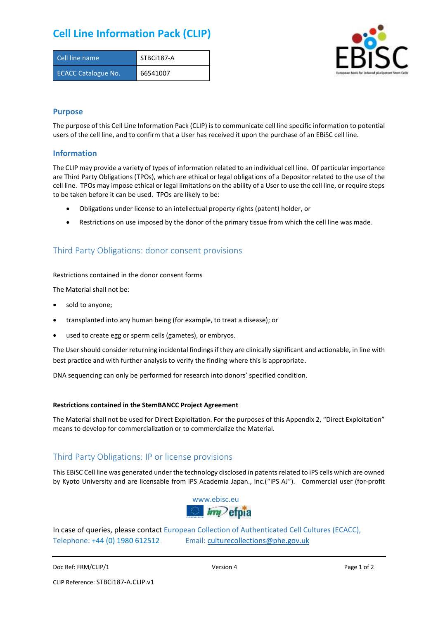# **Cell Line Information Pack (CLIP)**

| Cell line name             | STBCi187-A |
|----------------------------|------------|
| <b>ECACC Catalogue No.</b> | 66541007   |



### **Purpose**

The purpose of this Cell Line Information Pack (CLIP) is to communicate cell line specific information to potential users of the cell line, and to confirm that a User has received it upon the purchase of an EBiSC cell line.

### **Information**

The CLIP may provide a variety of types of information related to an individual cell line. Of particular importance are Third Party Obligations (TPOs), which are ethical or legal obligations of a Depositor related to the use of the cell line. TPOs may impose ethical or legal limitations on the ability of a User to use the cell line, or require steps to be taken before it can be used. TPOs are likely to be:

- Obligations under license to an intellectual property rights (patent) holder, or
- Restrictions on use imposed by the donor of the primary tissue from which the cell line was made.

## Third Party Obligations: donor consent provisions

#### Restrictions contained in the donor consent forms

The Material shall not be:

- sold to anyone;
- transplanted into any human being (for example, to treat a disease); or
- used to create egg or sperm cells (gametes), or embryos.

The User should consider returning incidental findings if they are clinically significant and actionable, in line with best practice and with further analysis to verify the finding where this is appropriate.

DNA sequencing can only be performed for research into donors' specified condition.

#### **Restrictions contained in the StemBANCC Project Agreement**

The Material shall not be used for Direct Exploitation. For the purposes of this Appendix 2, "Direct Exploitation" means to develop for commercialization or to commercialize the Material.

## Third Party Obligations: IP or license provisions

This EBiSC Cell line was generated under the technology disclosed in patents related to iPS cells which are owned by Kyoto University and are licensable from iPS Academia Japan., Inc.("iPS AJ"). Commercial user (for-profit



In case of queries, please contact European Collection of Authenticated Cell Cultures (ECACC), Telephone: +44 (0) 1980 612512 Email: [culturecollections@phe.gov.uk](mailto:culturecollections@phe.gov.uk)